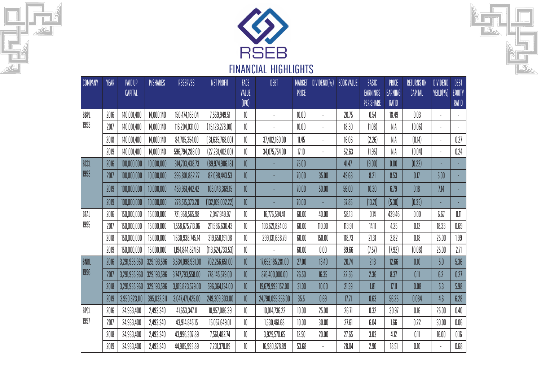





| COMPANY | YEAR | <b>PAID UP</b><br><b>CAPITAL</b> | <b>P/SHARES</b> | <b>RESERVES</b>  | NET PROFIT         | FACE<br>VALUE<br>(1P0) | DEBT              | <b>MARKET</b><br>PRICE | $DIVIDEND(\% )$ | <b>BOOK VALUE</b> | BASIC<br>EARNINGS<br><b>PER SHARE</b> | PRICE<br><b>EARNING</b><br>RATIO | <b>RETURNS ON</b><br>CAPITAL | <b>DIVIDEND</b><br>YEILD(%) | DEBT<br>EQUITY<br>RATIO |
|---------|------|----------------------------------|-----------------|------------------|--------------------|------------------------|-------------------|------------------------|-----------------|-------------------|---------------------------------------|----------------------------------|------------------------------|-----------------------------|-------------------------|
| BBPL    | 2016 | 140,001,400                      | 14,000,140      | 150,474,165.04   | 7,569,949.51       | 10                     |                   | 10.00                  |                 | 20.75             | 0.54                                  | 18.49                            | 0.03                         |                             |                         |
| 1993    | 2017 | 140,001,400                      | 14,000,140      | 116,204,031.00   | (15, 123, 278.00)  | 10                     |                   | 10.00                  |                 | 18.30             | (1.08)                                | N.A                              | (0.06)                       |                             |                         |
|         | 2018 | 140,001,400                      | 14,000,140      | 84,785,354.00    | (31,635,768.00)    | 10                     | 37,402,160.00     | 11.45                  |                 | 16.06             | (2.26)                                | N.A                              | (0.14)                       |                             | 0.27                    |
|         | 2019 | 140,001,400                      | 14,000,140      | 596,794,288.00   | (27, 231, 402.00)  | 10                     | 34,075,754.00     | 17.10                  |                 | 52.63             | (1.95)                                | N.A                              | (0.04)                       |                             | 0.24                    |
| BCCL    | 2016 | 100,000,000                      | 10,000,000      | 314,703,438.73   | (89, 974, 906.18)  | 10                     |                   | 75.00                  |                 | 41.47             | (9.00)                                | 0.00                             | (0.22)                       |                             |                         |
| 1993    | 2017 | 100,000,000                      | 10,000,000      | 396,801,882.27   | 82,098,443.53      | 10                     |                   | 70.00                  | 35.00           | 49.68             | 8.21                                  | 8.53                             | 0.17                         | 5.00                        |                         |
|         | 2019 | 100,000,000                      | 10,000,000      | 459,961,442.42   | 103,043,369.15     | 10                     |                   | 70.00                  | 50.00           | 56.00             | 10.30                                 | 6.79                             | 0.18                         | 7.14                        |                         |
|         | 2019 | 100,000,000                      | 10,000,000      | 278,515,373.20   | (132, 109, 002.22) | $10\,$                 |                   | 70.00                  |                 | 37.85             | (13.21)                               | (5.30)                           | (0.35)                       |                             |                         |
| BFAL    | 2016 | 150,000,000                      | 15,000,000      | 721,968,565.98   | 2,047,949.97       | 10                     | 16,776,594.41     | 60.00                  | 40.00           | 58.13             | 0.14                                  | 439.46                           | 0.00                         | 6.67                        | 0.11                    |
| 1995    | 2017 | 150,000,000                      | 15,000,000      | 1,558,675,713.06 | 211,586,630.43     | 10                     | 103,621,824.03    | 60.00                  | 110.00          | 113.91            | 14.11                                 | 4.25                             | 0.12                         | 18.33                       | 0.69                    |
|         | 2018 | 150,000,000                      | 15,000,000      | 1,630,938,745.14 | 319,650,191.08     | 10                     | 299,131,638.79    | 60.00                  | 150.00          | 118.73            | 21.31                                 | 2.82                             | 0.18                         | 25.00                       | 1.99                    |
|         | 2019 | 150,000,000                      | 15,000,000      | 1,194,844,824.61 | (113,624,733.53)   | 10                     |                   | 60.00                  | $0.00\,$        | 89.66             | (7.57)                                | (7.92)                           | (0.08)                       | 25.00                       | 2.71                    |
| BNBL    | 2016 | 3,291,935,960                    | 329,193,596     | 3,534,098,931.00 | 702,256,651.00     | 10                     | 17,652,185,281.00 | 27.00                  | 13.40           | 20.74             | 2.13                                  | 12.66                            | 0.10                         | 5.0                         | 5.36                    |
| 1996    | 2017 | 3,291,935,960                    | 329,193,596     | 3,747,793,558.00 | 778,145,579.00     | 10                     | 876,400,000.00    | 26.50                  | 16.35           | 22.56             | 2.36                                  | 8.37                             | 0.11                         | 6.2                         | 0.27                    |
|         | 2018 | 3,291,935,960                    | 329,193,596     | 3,815,823,579.00 | 596,364,134.00     | $10\,$                 | 19,679,993,152.00 | 31.00                  | 10.00           | 21.59             | 1.81                                  | 17.11                            | 0.08                         | 5.3                         | 5.98                    |
|         | 2019 | 3,950,323,110                    | 395,032,311     | 3,047,471,425.00 | 249,309,303.00     | 10                     | 24,790,095,356.00 | 35.5                   | 0.69            | 17.71             | 0.63                                  | 56.25                            | 0.084                        | 4.6                         | 6.28                    |
| BPCL    | 2016 | 24,933,400                       | 2,493,340       | 41,653,347.11    | 10,957,086.39      | 10                     | 10,014,736.22     | 10.00                  | 25.00           | 26.71             | 0.32                                  | 30.97                            | 0.16                         | 25.00                       | 0.40                    |
| 1997    | 2017 | 24,933,400                       | 2,493,340       | 43,914,845.15    | 15,057,649.01      | 10                     | 1,530,461.68      | 10.00                  | 30.00           | 27.61             | 6.04                                  | 1.66                             | 0.22                         | 30.00                       | 0.06                    |
|         | 2018 | 24,933,400                       | 2,493,340       | 43,996,307.89    | 7,561,482.74       | 10                     | 3,929,570.65      | 12.50                  | 20.00           | 27.65             | 3.03                                  | 4.12                             | 0.11                         | 16.00                       | $0.16\,$                |
|         | 2019 | 24,933,400                       | 2,493,340       | 44,985,993.89    | 7,231,370.89       | 10                     | 16,980,878.89     | 53.68                  |                 | 28.04             | 2.90                                  | 18.51                            | $0.10\,$                     |                             | $0.68\,$                |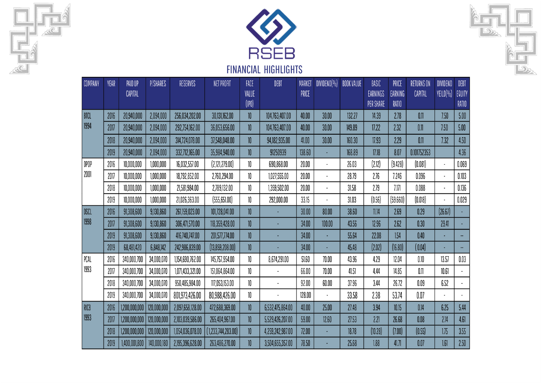





| <b>COMPANY</b> | YEAR | PAID UP<br>CAPITAL | P/SHARES    | RESERVES         | NET PROFIT         | FACE<br>VALUE<br>$($ IPO $)$ | DEBT             | <b>MARKET</b><br>PRICE | DIVIDEND(% ) | <b>BOOK VALUE</b> | BASIC<br>EARNINGS<br><b>PER SHARE</b> | PRICE<br><b>EARNING</b><br>RATIO | RETURNS ON<br>CAPITAL | DIVIDEND<br>YEILD(%) | DEBT<br>EQUITY<br>RATIO |
|----------------|------|--------------------|-------------|------------------|--------------------|------------------------------|------------------|------------------------|--------------|-------------------|---------------------------------------|----------------------------------|-----------------------|----------------------|-------------------------|
| BTCL           | 2016 | 20,940,000         | 2,094,000   | 256,034,202.00   | 30,131,162.00      | 10 <sup>°</sup>              | 104,763,407.00   | 40.00                  | 30.00        | 132.27            | 14.39                                 | 2.78                             | 0.11                  | 7.50                 | 5.00                    |
| 1994           | 2017 | 20,940,000         | 2,094,000   | 292,754,162.00   | 36,053,656.00      | 10                           | 104,763,407.00   | 40.00                  | 30.00        | 149.89            | 17.22                                 | 2.32                             | 0.11                  | 7.50                 | 5.00                    |
|                | 2018 | 20,940,000         | 2,094,000   | 314,724,078.00   | 37,548,048.00      | $10\,$                       | 94,182,935.00    | 41.00                  | 30.00        | 160.30            | 17.93                                 | 2.29                             | 0.11                  | 7.32                 | 4.50                    |
|                | 2019 | 20,940,000         | 2,094,000   | 332,712,165.00   | 35,984,940.00      | 10                           | 91250939         | 138.60                 |              | 168.89            | 17.18                                 | 8.07                             | 0.101752353           |                      | 4.36                    |
| DPOP           | 2016 | 10,000,000         | 1,000,000   | 16,032,557.00    | (2,121,279.00)     | 10                           | 690,868.00       | 20.00                  |              | 26.03             | (2.12)                                | (9.428)                          | (0.081)               |                      | 0.069                   |
| 2001           | 2017 | 10,000,000         | 1,000,000   | 18,792,852.00    | 2,760,294.00       | 10                           | 1,027,555.00     | 20.00                  |              | 28.79             | 2.76                                  | 7.246                            | 0.096                 |                      | 0.103                   |
|                | 2018 | 10,000,000         | 1,000,000   | 21,581,984.00    | 2,789,132.00       | 10                           | ,359,502.00      | 20.00                  |              | 31.58             | 2.79                                  | 7.171                            | 0.088                 |                      | 0.136                   |
|                | 2019 | 10,000,000         | 1,000,000   | 21,026,363.00    | (555, 651.00)      | 10                           | 292,000.00       | 33.15                  |              | 31.03             | (0.56)                                | (59.660)                         | (0.018)               | $\blacksquare$       | 0.029                   |
| DSCL           | 2016 | 91,308,600         | 9,130,860   | 261,159,023.00   | 101,728,041.00     | 10                           |                  | 30.00                  | 80.00        | 38.60             | 11.14                                 | 2.69                             | 0.29                  | (26.67)              |                         |
| 1998           | 2017 | 91,308,600         | 9,130,860   | 306,471,570.00   | 118,359,428.00     | 10                           |                  | 34.00                  | 100.00       | 43.56             | 12.96                                 | 2.62                             | 0.30                  | 29.41                |                         |
|                | 2019 | 91,308,600         | 9,130,860   | 416,740,747.00   | 201,577,774.00     | 10                           |                  | 34.00                  |              | 55.64             | 22.08                                 | 1.54                             | 0.40                  |                      | н,                      |
|                | 2019 | 68,481,420         | 6,848,142   | 242,986,839.00   | (13,859,208.00)    | $10\,$                       |                  | 34.00                  |              | 45.48             | (2.02)                                | (16.80)                          | (0.04)                |                      |                         |
| PCAL           | 2016 | 340,000,700        | 34,000,070  | 1,154,690,762.00 | 145,757,954.00     | 10                           | 8,674,291.00     | 51.60                  | 70.00        | 43.96             | 4.29                                  | 12.04                            | 0.10                  | 13.57                | 0.03                    |
| 1993           | 2017 | 340,000,700        | 34,000,070  | 1,071,433,321.00 | 151,064,864.00     | 10                           |                  | 66.00                  | 70.00        | 41.51             | 4.44                                  | 14.85                            | 0.11                  | 10.61                |                         |
|                | 2018 | 340,000,700        | 34,000,070  | 950,485,984.00   | 117,053,153.00     | 10                           |                  | 92.00                  | 60.00        | 37.96             | 3.44                                  | 26.72                            | 0.09                  | 6.52                 |                         |
|                | 2019 | 340,000,700        | 34,000,070  | 801,973,426.00   | 80,988,426.00      | 10                           |                  | 128.00                 |              | 33.58             | 2.38                                  | 53.74                            | 0.07                  |                      |                         |
| RICB           | 2016 | 1,200,000,000      | 120,000,000 | 2,097,658,128.00 | 472,688,369.00     | 10                           | 6,532,475,864.00 | 40.00                  | 25.00        | 27.48             | 3.94                                  | 10.15                            | 0.14                  | 6.25                 | 5.44                    |
| 1993           | 2017 | 1,200,000,000      | 120,000,000 | 2,103,039,586.00 | 265,404,967.00     | 10                           | 5,529,426,207.00 | 59.00                  | 12.60        | 27.53             | 2.21                                  | 26.68                            | 0.08                  | 2.14                 | 4.61                    |
|                | 2018 | 1,200,000,000      | 120,000,000 | 1,054,036,078.00 | (1,233,744,283.00) | $10\,$                       | 4,259,242,987.00 | 72.00                  |              | 18.78             | (10.28)                               | (7.00)                           | (0.55)                | 1.75                 | 3.55                    |
|                | 2019 | 1,400,001,800      | 140,000,180 | 2,195,396,628.00 | 263,486,270.00     | 10                           | 3,504,655,357.00 | 78.50                  |              | 25.68             | 1.88                                  | 41.71                            | 0.07                  | 1.61                 | 2.50                    |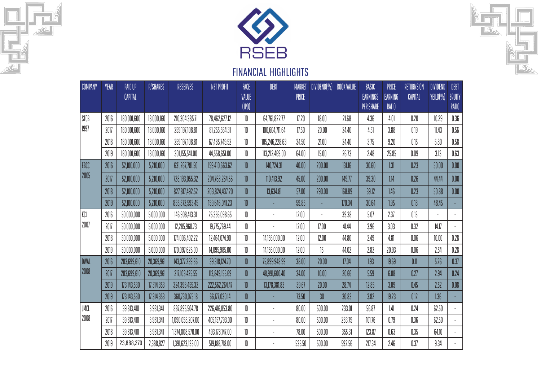





| COMPANY | YEAR | PAID UP<br>CAPITAL | <b>P/SHARES</b> | <b>RESERVES</b>  | NET PROFIT     | FACE<br>VALUE<br>(1P0) | DEBT           | MARKET<br>PRICE | $DIVIDEND(\% )$ | <b>BOOK VALUE</b> | BASIC<br>EARNINGS<br>PER SHARE | PRICE<br><b>EARNING</b><br>RATIO | RETURNS ON<br>CAPITAL | DIVIDEND<br>YEILD(%) | DEBT<br>EQUITY<br>RATIO |
|---------|------|--------------------|-----------------|------------------|----------------|------------------------|----------------|-----------------|-----------------|-------------------|--------------------------------|----------------------------------|-----------------------|----------------------|-------------------------|
| STCB    | 2016 | 180,001,600        | 18,000,160      | 210,304,385.71   | 78,462,627.12  | 10                     | 64,761,822.77  | 17.20           | 18.00           | 21.68             | 4.36                           | 4.01                             | 0.20                  | 10.29                | 0.36                    |
| 1997    | 2017 | 180,001,600        | 18,000,160      | 259,197,108.81   | 81,255,564.31  | 10                     | 100,604,711.64 | 17.50           | 20.00           | 24.40             | 4.51                           | 3.88                             | 0.19                  | 11.43                | 0.56                    |
|         | 2018 | 180,001,600        | 18,000,160      | 259,197,108.81   | 67,485,749.52  | 10                     | 105,246,228.63 | 34.50           | 21.00           | 24.40             | 3.75                           | 9.20                             | 0.15                  | 5.80                 | 0.58                    |
|         | 2019 | 180,001,600        | 18,000,160      | 301,155,541.00   | 44,558,651.00  | 10                     | 113,212,469.00 | 64.00           | 15.00           | 26.73             | 2.48                           | 25.85                            | 0.09                  | 3.13                 | 0.63                    |
| EBCC    | 2016 | 52,100,000         | 5,210,000       | 631,267,781.50   | 159,410,663.62 | 10 <sup>°</sup>        | 140,724.31     | 40.00           | 200.00          | 131.16            | 30.60                          | 1.31                             | 0.23                  | $50.00$              | $0.00\,$                |
| 2005    | 2017 | 52,100,000         | 5,210,000       | 728,193,055.32   | 204,763,264.56 | 10                     | 110,413.92     | 45.00           | 200.00          | 149.77            | 39.30                          | 1.14                             | 0.26                  | 44.44                | 0.00                    |
|         | 2018 | 52,100,000         | 5,210,000       | 827,817,492.52   | 203,824,437.20 | 10                     | 13,634.81      | $57.00$         | 290.00          | 168.89            | 39.12                          | 1.46                             | 0.23                  | 50.88                | 0.00                    |
|         | 2019 | 52,100,000         | 5,210,000       | 835,372,593.45   | 159,646,041.23 | 10                     |                | 59.85           |                 | 170.34            | 30.64                          | 1.95                             | 0.18                  | 48.45                |                         |
| KCL     | 2016 | 50,000,000         | 5,000,000       | 146,908,413.31   | 25,356,098.65  | 10                     |                | 12.00           |                 | 39.38             | 5.07                           | 2.37                             | 0.13                  |                      |                         |
| 2007    | 2017 | 50,000,000         | 5,000,000       | 12,285,960.73    | 19,775,769.44  | 10                     |                | 12.00           | 17.00           | 41.44             | 3.96                           | 3.03                             | 0.32                  | 14.17                |                         |
|         | 2018 | 50,000,000         | 5,000,000       | 174,006,402.22   | 12,464,074.90  | 10                     | 14,156,000.00  | 12.00           | 12.00           | 44.80             | 2.49                           | 4.81                             | $0.06\,$              | $10.00$              | 0.28                    |
|         | 2019 | 50,000,000         | 5,000,000       | 170,097,626.00   | 14,095,985.00  | 10                     | 14,156,000.00  | 12.00           | 15              | 44.02             | 2.82                           | 20.93                            | 0.06                  | 2.54                 | 0.28                    |
| DWAL    | 2016 | 203,699,610        | 20,369,961      | 143,377,239.86   | 39,318,124.70  | 10                     | 75,899,948.99  | 38.00           | 20.00           | 17.04             | 1.93                           | 19.69                            | 0.11                  | 5.26                 | 0.37                    |
| 2008    | 2017 | 203,699,610        | 20,369,961      | 217,103,425.55   | 113,849,155.69 | 10 <sup>°</sup>        | 48,991,600.40  | 34.00           | 10.00           | 20.66             | 5.59                           | 6.08                             | 0.27                  | 2.94                 | 0.24                    |
|         | 2019 | 173,143,530        | 17,314,353      | 324,398,455.32   | 222,562,264.47 | 10                     | 13,178,381.83  | 39.67           | 20.00           | 28.74             | 12.85                          | 3.09                             | 0.45                  | 2.52                 | 0.08                    |
|         | 2019 | 173,143,530        | 17,314,353      | 360,730,075.18   | 66,177,030.14  | 10 <sup>°</sup>        |                | 73.50           | 30 <sup>°</sup> | 30.83             | 3.82                           | 19.23                            | 0.12                  | 1.36                 |                         |
| JMCL    | 2016 | 39,813,410         | 3,981,341       | 887,895,504.78   | 226,416,853.80 | 10                     |                | 80.00           | $500.00$        | 233.01            | 56.87                          | 1.41                             | 0.24                  | 62.50                |                         |
| 2008    | 2017 | 39,813,410         | 3,981,341       | 1,090,058,207.00 | 405,157,793.00 | 10                     |                | 80.00           | $500.00$        | 283.79            | 101.76                         | 0.79                             | 0.36                  | 62.50                |                         |
|         | 2018 | 39,813,410         | 3,981,341       | 1,374,808,570.00 | 493,178,147.00 | 10                     |                | 78.00           | $500.00$        | 355.31            | 123.87                         | 0.63                             | 0.35                  | 64.10                |                         |
|         | 2019 | 23,888,270         | 2,388,827       | 1,391,623,133.00 | 519,188,718.00 | 10                     |                | 535.50          | $500.00$        | 592.56            | 217.34                         | 2.46                             | 0.37                  | 9.34                 |                         |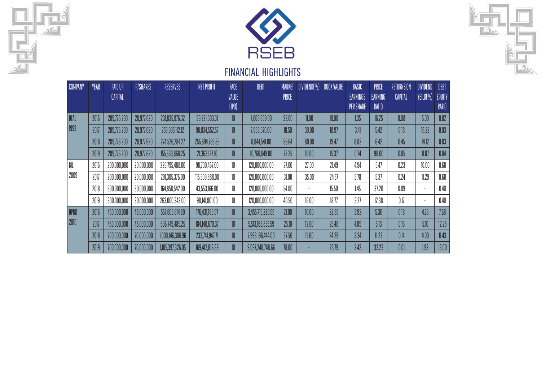





| <b>COMPANY</b> | <b>YEAR</b> | PAID UP        | P/SHARES   | RESERVES         | NET PROFIT     | FACE                      | DEBT             | <b>MARKET</b> | DIVIDEND(%) BOOK VALUE |       | BASIC                        | PRICE                   | <b>RETURNS ON</b> | <b>DIVIDEND</b> | DEBT            |
|----------------|-------------|----------------|------------|------------------|----------------|---------------------------|------------------|---------------|------------------------|-------|------------------------------|-------------------------|-------------------|-----------------|-----------------|
|                |             | <b>CAPITAL</b> |            |                  |                | VALUE<br>$(\mathsf{IPO})$ |                  | PRICE         |                        |       | EARNINGS<br><b>PER SHARE</b> | <b>EARNING</b><br>RATIO | CAPITAL           | YEILD(%)        | EQUITY<br>RATIO |
| DFAL           | 2016        | 289,776,200    | 28,977,620 | 231,835,976.32   | 39,221,303.31  | 10                        | 7,008,639.00     | 22.00         | 11.00                  | 18.00 | 1.35                         | 16.25                   | 0.08              | 5.00            | 0.02            |
| 1993           | 2017        | 289,776,200    | 28,977,620 | 259,995,112.12   | 98,834,552.57  | 10                        | 7,938,370.00     | 18.50         | 30.00                  | 18.97 | 3.41                         | 5.42                    | 0.18              | 16.22           | 0.03            |
|                | 2018        | 289,776,200    | 28,977,620 | 274,526,284.27   | 255,694,769.85 | 10                        | 8,844,541.00     | 56.64         | 80.00                  | 19.47 | 8.82                         | 6.42                    | 0.45              | 14.12           | 0.03            |
|                | 2019        | 289,776,200    | 28,977,620 | 155,533,868.25   | 21,363,127.10  | 10                        | 10,760,049.00    | 72.25         | 10.00                  | 15.37 | 0.74                         | 98.00                   | 0.05              | 11.07           | 0.04            |
| BIL            | 2016        | 200,000,000    | 20,000,000 | 229,795,488.00   | 98,730,467.00  | 10                        | 120,000,000.00   | 27.00         | 27.00                  | 21.49 | 4.94                         | 5.47                    | 0.23              | 10.00           | 0.60            |
| 2009           | 2017        | 200,000,000    | 20,000,000 | 291,305,376.00   | 115,509,888.00 | 10                        | 120,000,000.00   | 31.00         | 35.00                  | 24.57 | 5.78                         | 5.37                    | 0.24              | 11.29           | 0.60            |
|                | 2018        | 300,000,000    | 30,000,000 | 164,858,542.00   | 43,553,166.00  | 10                        | 120,000,000.00   | 54.00         |                        | 15.50 | 1.45                         | 37.20                   | 0.09              |                 | 0.40            |
|                | 2019        | 300,000,000    | 30,000,000 | 263,000,343.00   | 98,141,801.00  | 10                        | 120,000,000.00   | 40.50         | 16.00                  | 18.77 | 3.27                         | 12.38                   | 0.17              |                 | 0.40            |
| <b>DPNB</b>    | 2016        | 450,000,000    | 45,000,000 | 557,608,814.89   | 176,431,163.97 | 10                        | 3,455,715,220.59 | 21.00         | 10.00                  | 22.39 | 3.92                         | 5.36                    | 0.18              | 4.76            | 7.68            |
| 2010           | 2017        | 450,000,000    | 45,000,000 | 696,749,485.25   | 184,140,670.37 | 10                        | 5,513,163,855.59 | 25.10         | 12.00                  | 25.48 | 4.09                         | 6.13                    | 0.16              | 5.10            | 12.25           |
|                | 2018        | 700,000,000    | 70,000,000 | 1,000,146,306.96 | 233,741,947.71 | 10                        | 7,998,196,444.00 | 37.50         | 15.00                  | 24.29 | 3.34                         | 11.23                   | 0.14              | 4.00            | 11.43           |
|                | 2019        | 700,000,000    | 70,000,000 | 1,105,397,326.05 | 169,412,812.89 | 10 <sup>°</sup>           | 9,097,248,748.66 | 78.00         |                        | 25.79 | 2.42                         | 32.23                   | 0.01              | 1.92            | 13.00           |